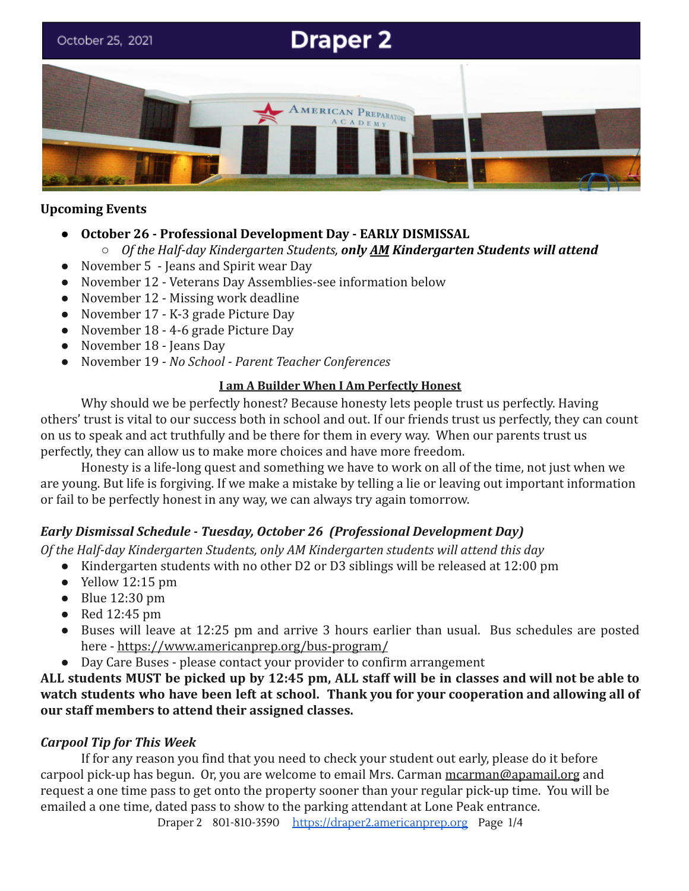# **Draper 2** October 25, 2021 ERICAN PREPARATORY

# **Upcoming Events**

**● October 26 - Professional Development Day - EARLY DISMISSAL**

### ○ *Of the Half-day Kindergarten Students, only AM Kindergarten Students will attend*

- November 5 Jeans and Spirit wear Day
- November 12 Veterans Day Assemblies-see information below
- November 12 Missing work deadline
- November 17 K-3 grade Picture Day
- November 18 4-6 grade Picture Day
- November 18 Jeans Day
- November 19 *No School Parent Teacher Conferences*

#### **I am A Builder When I Am Perfectly Honest**

Why should we be perfectly honest? Because honesty lets people trust us perfectly. Having others' trust is vital to our success both in school and out. If our friends trust us perfectly, they can count on us to speak and act truthfully and be there for them in every way. When our parents trust us perfectly, they can allow us to make more choices and have more freedom.

Honesty is a life-long quest and something we have to work on all of the time, not just when we are young. But life is forgiving. If we make a mistake by telling a lie or leaving out important information or fail to be perfectly honest in any way, we can always try again tomorrow.

# *Early Dismissal Schedule - Tuesday, October 26 (Professional Development Day)*

*Of the Half-day Kindergarten Students, only AM Kindergarten students will attend this day*

- Kindergarten students with no other D2 or D3 siblings will be released at 12:00 pm
- $\bullet$  Yellow 12:15 pm
- $\bullet$  Blue 12:30 pm
- Red 12:45 pm
- Buses will leave at 12:25 pm and arrive 3 hours earlier than usual. Bus schedules are posted here - <https://www.americanprep.org/bus-program/>
- Day Care Buses please contact your provider to confirm arrangement

ALL students MUST be picked up by 12:45 pm, ALL staff will be in classes and will not be able to **watch students who have been left at school. Thank you for your cooperation and allowing all of our staff members to attend their assigned classes.**

# *Carpool Tip for This Week*

If for any reason you find that you need to check your student out early, please do it before carpool pick-up has begun. Or, you are welcome to email Mrs. Carman [mcarman@apamail.org](mailto:mcarman@apamail.org) and request a one time pass to get onto the property sooner than your regular pick-up time. You will be emailed a one time, dated pass to show to the parking attendant at Lone Peak entrance.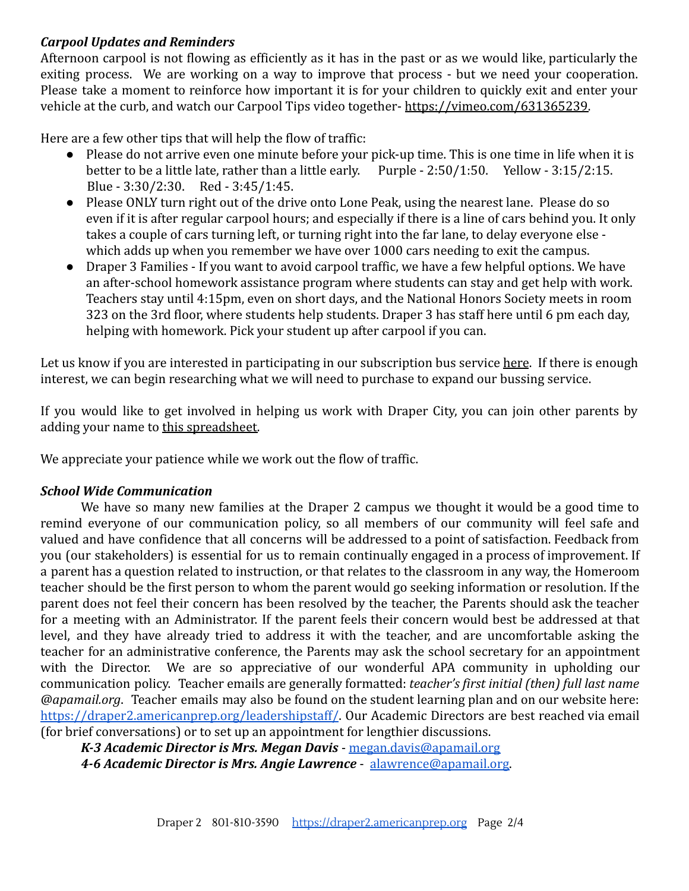## *Carpool Updates and Reminders*

Afternoon carpool is not flowing as efficiently as it has in the past or as we would like, particularly the exiting process. We are working on a way to improve that process - but we need your cooperation. Please take a moment to reinforce how important it is for your children to quickly exit and enter your vehicle at the curb, and watch our Carpool Tips video together- [https://vimeo.com/631365239.](https://vimeo.com/631365239)

Here are a few other tips that will help the flow of traffic:

- Please do not arrive even one minute before your pick-up time. This is one time in life when it is better to be a little late, rather than a little early. Purple - 2:50/1:50. Yellow - 3:15/2:15. Blue - 3:30/2:30. Red - 3:45/1:45.
- Please ONLY turn right out of the drive onto Lone Peak, using the nearest lane. Please do so even if it is after regular carpool hours; and especially if there is a line of cars behind you. It only takes a couple of cars turning left, or turning right into the far lane, to delay everyone else which adds up when you remember we have over 1000 cars needing to exit the campus.
- Draper 3 Families If you want to avoid carpool traffic, we have a few helpful options. We have an after-school homework assistance program where students can stay and get help with work. Teachers stay until 4:15pm, even on short days, and the National Honors Society meets in room 323 on the 3rd floor, where students help students. Draper 3 has staff here until 6 pm each day, helping with homework. Pick your student up after carpool if you can.

Let us know if you are interested in participating in our subscription bus service [here](https://www.americanprep.org/bus-program/). If there is enough interest, we can begin researching what we will need to purchase to expand our bussing service.

If you would like to get involved in helping us work with Draper City, you can join other parents by adding your name to [this spreadsheet.](https://docs.google.com/spreadsheets/d/1g5Vz_hrB7WMhXb7IRvtlA3De6lsGBcRLqwz9zESiKFg/edit#gid=0)

We appreciate your patience while we work out the flow of traffic.

# *School Wide Communication*

We have so many new families at the Draper 2 campus we thought it would be a good time to remind everyone of our communication policy, so all members of our community will feel safe and valued and have confidence that all concerns will be addressed to a point of satisfaction. Feedback from you (our stakeholders) is essential for us to remain continually engaged in a process of improvement. If a parent has a question related to instruction, or that relates to the classroom in any way, the Homeroom teacher should be the first person to whom the parent would go seeking information or resolution. If the parent does not feel their concern has been resolved by the teacher, the Parents should ask the teacher for a meeting with an Administrator. If the parent feels their concern would best be addressed at that level, and they have already tried to address it with the teacher, and are uncomfortable asking the teacher for an administrative conference, the Parents may ask the school secretary for an appointment with the Director. We are so appreciative of our wonderful APA community in upholding our communication policy. Teacher emails are generally formatted: *teacher's first initial (then) full last name @apamail.org*. Teacher emails may also be found on the student learning plan and on our website here: <https://draper2.americanprep.org/leadershipstaff/>. Our Academic Directors are best reached via email (for brief conversations) or to set up an appointment for lengthier discussions.

*K-3 Academic Director is Mrs. Megan Davis* - [megan.davis@apamail.org](mailto:megan.davis@apamail.org) *4-6 Academic Director is Mrs. Angie Lawrence* - [alawrence@apamail.org.](mailto:alawrence@apamail.org)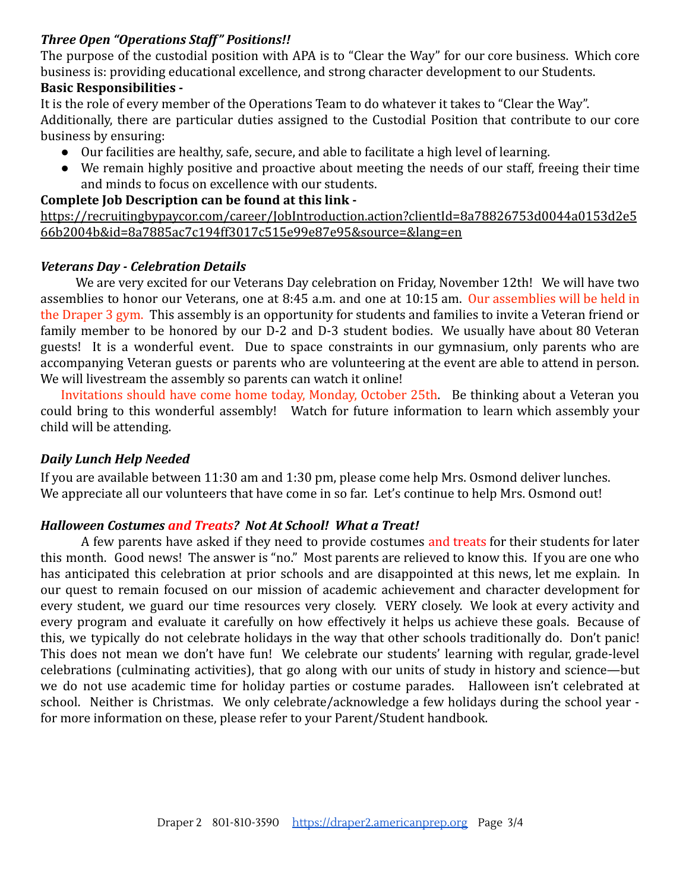### *Three Open "Operations Staff" Positions!!*

The purpose of the custodial position with APA is to "Clear the Way" for our core business. Which core business is: providing educational excellence, and strong character development to our Students. **Basic Responsibilities -**

It is the role of every member of the Operations Team to do whatever it takes to "Clear the Way". Additionally, there are particular duties assigned to the Custodial Position that contribute to our core business by ensuring:

- Our facilities are healthy, safe, secure, and able to facilitate a high level of learning.
- We remain highly positive and proactive about meeting the needs of our staff, freeing their time and minds to focus on excellence with our students.

#### **Complete Job Description can be found at this link -**

[https://recruitingbypaycor.com/career/JobIntroduction.action?clientId=8a78826753d0044a0153d2e5](https://recruitingbypaycor.com/career/JobIntroduction.action?clientId=8a78826753d0044a0153d2e566b2004b&id=8a7885ac7c194ff3017c515e99e87e95&source=&lang=en) [66b2004b&id=8a7885ac7c194ff3017c515e99e87e95&source=&lang=en](https://recruitingbypaycor.com/career/JobIntroduction.action?clientId=8a78826753d0044a0153d2e566b2004b&id=8a7885ac7c194ff3017c515e99e87e95&source=&lang=en)

### *Veterans Day - Celebration Details*

We are very excited for our Veterans Day celebration on Friday, November 12th! We will have two assemblies to honor our Veterans, one at 8:45 a.m. and one at 10:15 am. Our assemblies will be held in the Draper 3 gym. This assembly is an opportunity for students and families to invite a Veteran friend or family member to be honored by our D-2 and D-3 student bodies. We usually have about 80 Veteran guests! It is a wonderful event. Due to space constraints in our gymnasium, only parents who are accompanying Veteran guests or parents who are volunteering at the event are able to attend in person. We will livestream the assembly so parents can watch it online!

Invitations should have come home today, Monday, October 25th. Be thinking about a Veteran you could bring to this wonderful assembly! Watch for future information to learn which assembly your child will be attending.

#### *Daily Lunch Help Needed*

If you are available between 11:30 am and 1:30 pm, please come help Mrs. Osmond deliver lunches. We appreciate all our volunteers that have come in so far. Let's continue to help Mrs. Osmond out!

# *Halloween Costumes and Treats? Not At School! What a Treat!*

A few parents have asked if they need to provide costumes and treats for their students for later this month. Good news! The answer is "no." Most parents are relieved to know this. If you are one who has anticipated this celebration at prior schools and are disappointed at this news, let me explain. In our quest to remain focused on our mission of academic achievement and character development for every student, we guard our time resources very closely. VERY closely. We look at every activity and every program and evaluate it carefully on how effectively it helps us achieve these goals. Because of this, we typically do not celebrate holidays in the way that other schools traditionally do. Don't panic! This does not mean we don't have fun! We celebrate our students' learning with regular, grade-level celebrations (culminating activities), that go along with our units of study in history and science—but we do not use academic time for holiday parties or costume parades. Halloween isn't celebrated at school. Neither is Christmas. We only celebrate/acknowledge a few holidays during the school year for more information on these, please refer to your Parent/Student handbook.